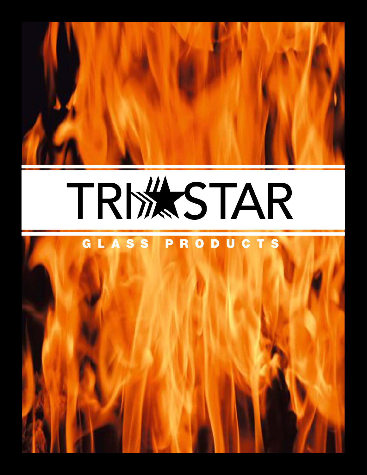

# TRIXSTAR

### GLASS PRODUCTS

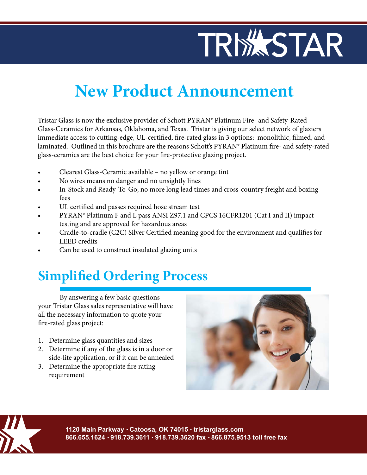# TRIX STAR

# **New Product Announcement**

Tristar Glass is now the exclusive provider of Schott PYRAN® Platinum Fire- and Safety-Rated Glass-Ceramics for Arkansas, Oklahoma, and Texas. Tristar is giving our select network of glaziers immediate access to cutting-edge, UL-certified, fire-rated glass in 3 options: monolithic, filmed, and laminated. Outlined in this brochure are the reasons Schott's PYRAN® Platinum fire- and safety-rated glass-ceramics are the best choice for your fire-protective glazing project.

- Clearest Glass-Ceramic available no yellow or orange tint
- No wires means no danger and no unsightly lines
- In-Stock and Ready-To-Go; no more long lead times and cross-country freight and boxing fees
- UL certified and passes required hose stream test
- PYRAN® Platinum F and L pass ANSI Z97.1 and CPCS 16CFR1201 (Cat I and II) impact testing and are approved for hazardous areas
- Cradle-to-cradle (C2C) Silver Certified meaning good for the environment and qualifies for LEED credits
- Can be used to construct insulated glazing units

### **Simplified Ordering Process**

By answering a few basic questions your Tristar Glass sales representative will have all the necessary information to quote your fire-rated glass project:

- 1. Determine glass quantities and sizes
- 2. Determine if any of the glass is in a door or side-lite application, or if it can be annealed
- 3. Determine the appropriate fire rating requirement



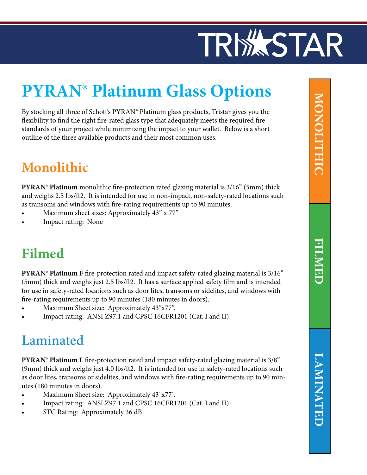# TRIX STAR

# **PYRAN® Platinum Glass Options**

By stocking all three of Schott's PYRAN® Platinum glass products, Tristar gives you the flexibility to find the right fire-rated glass type that adequately meets the required fire standards of your project while minimizing the impact to your wallet. Below is a short outline of the three available products and their most common uses.

### **Monolithic**

**PYRAN® Platinum** monolithic fire-protection rated glazing material is 3/16" (5mm) thick and weighs 2.5 lbs/ft2. It is intended for use in non-impact, non-safety-rated locations such as transoms and windows with fire-rating requirements up to 90 minutes.

- Maximum sheet sizes: Approximately 43" x 77"
- Impact rating: None

### **Filmed**

**PYRAN® Platinum F** fire-protection rated and impact safety-rated glazing material is 3/16" (5mm) thick and weighs just 2.5 lbs/ft2. It has a surface applied safety film and is intended for use in safety-rated locations such as door lites, transoms or sidelites, and windows with fire-rating requirements up to 90 minutes (180 minutes in doors).

- Maximum Sheet size: Approximately 43"x77".
- Impact rating: ANSI Z97.1 and CPSC 16CFR1201 (Cat. I and II)

### Laminated

**PYRAN® Platinum L** fire-protection rated and impact safety-rated glazing material is 3/8" (9mm) thick and weighs just 4.0 lbs/ft2. It is intended for use in safety-rated locations such as door lites, transoms or sidelites, and windows with fire-rating requirements up to 90 minutes (180 minutes in doors).

- Maximum Sheet size: Approximately 43"x77".
- Impact rating: ANSI Z97.1 and CPSC 16CFR1201 (Cat. I and II)
- STC Rating: Approximately 36 dB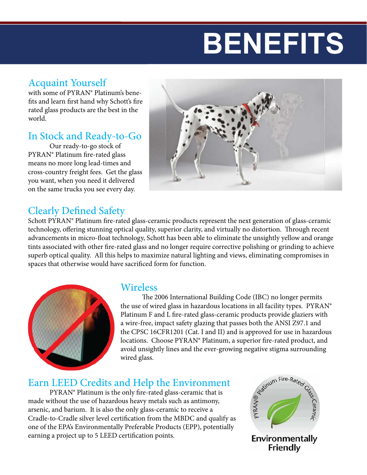# **BENEFITS**

### Acquaint Yourself

with some of PYRAN® Platinum's benefits and learn first hand why Schott's fire rated glass products are the best in the world.

### In Stock and Ready-to-Go

Our ready-to-go stock of PYRAN® Platinum fire-rated glass means no more long lead-times and cross-country freight fees. Get the glass you want, when you need it delivered on the same trucks you see every day.



### Clearly Defined Safety

Schott PYRAN® Platinum fire-rated glass-ceramic products represent the next generation of glass-ceramic technology, offering stunning optical quality, superior clarity, and virtually no distortion. Through recent advancements in micro-float technology, Schott has been able to eliminate the unsightly yellow and orange tints associated with other fire-rated glass and no longer require corrective polishing or grinding to achieve superb optical quality. All this helps to maximize natural lighting and views, eliminating compromises in spaces that otherwise would have sacrificed form for function.



#### Wireless

 The 2006 International Building Code (IBC) no longer permits the use of wired glass in hazardous locations in all facility types. PYRAN® Platinum F and L fire-rated glass-ceramic products provide glaziers with a wire-free, impact safety glazing that passes both the ANSI Z97.1 and the CPSC 16CFR1201 (Cat. I and II) and is approved for use in hazardous locations. Choose PYRAN® Platinum, a superior fire-rated product, and avoid unsightly lines and the ever-growing negative stigma surrounding wired glass.

#### Earn LEED Credits and Help the Environment

PYRAN® Platinum is the only fire-rated glass-ceramic that is made without the use of hazardous heavy metals such as antimony, arsenic, and barium. It is also the only glass-ceramic to receive a Cradle-to-Cradle silver level certification from the MBDC and qualify as one of the EPA's Environmentally Preferable Products (EPP), potentially earning a project up to 5 LEED certification points.

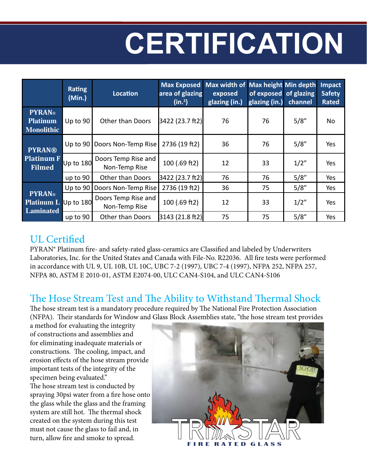# **CERTIFICATION**

|                                                                  | <b>Rating</b><br>(Min.) | Location                             | <b>Max Exposed</b><br>area of glazing<br>(in. <sup>2</sup> ) | Max width of Max height Min depth<br>exposed<br>glazing (in.) | of exposed of glazing<br>glazing (in.) | channel | Impact<br><b>Safety</b><br><b>Rated</b> |
|------------------------------------------------------------------|-------------------------|--------------------------------------|--------------------------------------------------------------|---------------------------------------------------------------|----------------------------------------|---------|-----------------------------------------|
| <b>PYRAN®</b><br><b>Platinum</b><br><b>Monolithic</b>            | Up to 90                | <b>Other than Doors</b>              | 3422 (23.7 ft2)                                              | 76                                                            | 76                                     | 5/8"    | No                                      |
| <b>PYRAN®</b><br><b>Platinum F</b><br><b>Filmed</b>              | Up to $90$              | Doors Non-Temp Rise                  | 2736 (19 ft2)                                                | 36                                                            | 76                                     | 5/8"    | Yes                                     |
|                                                                  | Up to 180               | Doors Temp Rise and<br>Non-Temp Rise | 100 $(.69 ft2)$                                              | 12                                                            | 33                                     | 1/2"    | Yes                                     |
|                                                                  | up to 90                | <b>Other than Doors</b>              | 3422 (23.7 ft2)                                              | 76                                                            | 76                                     | 5/8"    | Yes                                     |
| <b>PYRAN®</b><br><b>Platinum L</b> Up to 180<br><b>Laminated</b> | Up to $90$              | Doors Non-Temp Rise                  | 2736 (19 ft2)                                                | 36                                                            | 75                                     | 5/8"    | Yes                                     |
|                                                                  |                         | Doors Temp Rise and<br>Non-Temp Rise | 100 $(.69 ft2)$                                              | 12                                                            | 33                                     | 1/2"    | Yes                                     |
|                                                                  | up to 90                | <b>Other than Doors</b>              | 3143 (21.8 ft2)                                              | 75                                                            | 75                                     | 5/8"    | Yes                                     |

#### UL Certified

PYRAN® Platinum fire- and safety-rated glass-ceramics are Classified and labeled by Underwriters Laboratories, Inc. for the United States and Canada with File-No. R22036. All fire tests were performed in accordance with UL 9, UL 10B, UL 10C, UBC 7-2 (1997), UBC 7-4 (1997), NFPA 252, NFPA 257, NFPA 80, ASTM E 2010-01, ASTM E2074-00, ULC CAN4-S104, and ULC CAN4-S106

### The Hose Stream Test and The Ability to Withstand Thermal Shock

The hose stream test is a mandatory procedure required by The National Fire Protection Association (NFPA). Their standards for Window and Glass Block Assemblies state, "the hose stream test provides

a method for evaluating the integrity of constructions and assemblies and for eliminating inadequate materials or constructions. The cooling, impact, and erosion effects of the hose stream provide important tests of the integrity of the specimen being evaluated." The hose stream test is conducted by spraying 30psi water from a fire hose onto the glass while the glass and the framing system are still hot. The thermal shock created on the system during this test must not cause the glass to fail and, in turn, allow fire and smoke to spread.

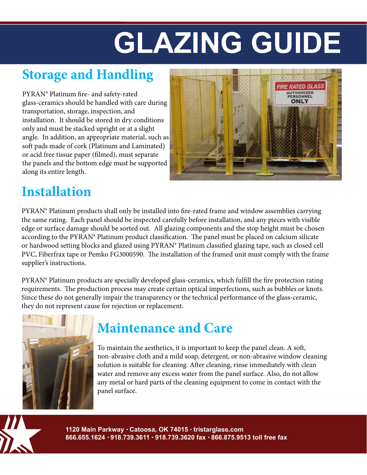# **GLAZING GUIDE**

### **Storage and Handling**

PYRAN® Platinum fire- and safety-rated glass-ceramics should be handled with care during transportation, storage, inspection, and installation. It should be stored in dry conditions only and must be stacked upright or at a slight angle. In addition, an appropriate material, such as soft pads made of cork (Platinum and Laminated) or acid free tissue paper (filmed), must separate the panels and the bottom edge must be supported along its entire length.



### **Installation**

PYRAN® Platinum products shall only be installed into fire-rated frame and window assemblies carrying the same rating. Each panel should be inspected carefully before installation, and any pieces with visible edge or surface damage should be sorted out. All glazing components and the stop height must be chosen according to the PYRAN® Platinum product classification. The panel must be placed on calcium silicate or hardwood setting blocks and glazed using PYRAN® Platinum classified glazing tape, such as closed cell PVC, Fiberfrax tape or Pemko FG3000590. The installation of the framed unit must comply with the frame supplier's instructions.

PYRAN® Platinum products are specially developed glass-ceramics, which fulfill the fire protection rating requirements. The production process may create certain optical imperfections, such as bubbles or knots. Since these do not generally impair the transparency or the technical performance of the glass-ceramic, they do not represent cause for rejection or replacement.



### **Maintenance and Care**

To maintain the aesthetics, it is important to keep the panel clean. A soft, non-abrasive cloth and a mild soap, detergent, or non-abrasive window cleaning solution is suitable for cleaning. After cleaning, rinse immediately with clean water and remove any excess water from the panel surface. Also, do not allow any metal or hard parts of the cleaning equipment to come in contact with the panel surface.



**1120 Main Parkway Catoosa, OK 74015 tristarglass.com 866.655.1624 918.739.3611 918.739.3620 fax 866.875.9513 toll free fax**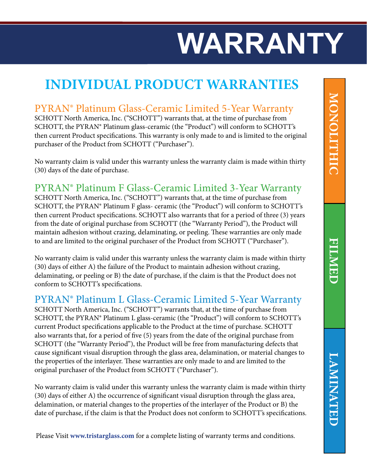# **WARRANTY**

### **INDIVIDUAL PRODUCT WARRANTIES**

#### PYRAN® Platinum Glass-Ceramic Limited 5-Year Warranty

SCHOTT North America, Inc. ("SCHOTT") warrants that, at the time of purchase from SCHOTT, the PYRAN® Platinum glass-ceramic (the "Product") will conform to SCHOTT's then current Product specifications. This warranty is only made to and is limited to the original purchaser of the Product from SCHOTT ("Purchaser").

No warranty claim is valid under this warranty unless the warranty claim is made within thirty (30) days of the date of purchase.

#### PYRAN® Platinum F Glass-Ceramic Limited 3-Year Warranty SCHOTT North America, Inc. ("SCHOTT") warrants that, at the time of purchase from SCHOTT, the PYRAN® Platinum F glass- ceramic (the "Product") will conform to SCHOTT's then current Product specifications. SCHOTT also warrants that for a period of three (3) years from the date of original purchase from SCHOTT (the "Warranty Period"), the Product will maintain adhesion without crazing, delaminating, or peeling. These warranties are only made to and are limited to the original purchaser of the Product from SCHOTT ("Purchaser").

No warranty claim is valid under this warranty unless the warranty claim is made within thirty (30) days of either A) the failure of the Product to maintain adhesion without crazing, delaminating, or peeling or B) the date of purchase, if the claim is that the Product does not conform to SCHOTT's specifications.

#### PYRAN® Platinum L Glass-Ceramic Limited 5-Year Warranty

SCHOTT North America, Inc. ("SCHOTT") warrants that, at the time of purchase from SCHOTT, the PYRAN® Platinum L glass-ceramic (the "Product") will conform to SCHOTT's current Product specifications applicable to the Product at the time of purchase. SCHOTT also warrants that, for a period of five (5) years from the date of the original purchase from SCHOTT (the "Warranty Period"), the Product will be free from manufacturing defects that cause significant visual disruption through the glass area, delamination, or material changes to the properties of the interlayer. These warranties are only made to and are limited to the original purchaser of the Product from SCHOTT ("Purchaser").

No warranty claim is valid under this warranty unless the warranty claim is made within thirty (30) days of either A) the occurrence of significant visual disruption through the glass area, delamination, or material changes to the properties of the interlayer of the Product or B) the date of purchase, if the claim is that the Product does not conform to SCHOTT's specifications.

Please Visit **www.tristarglass.com** for a complete listing of warranty terms and conditions.